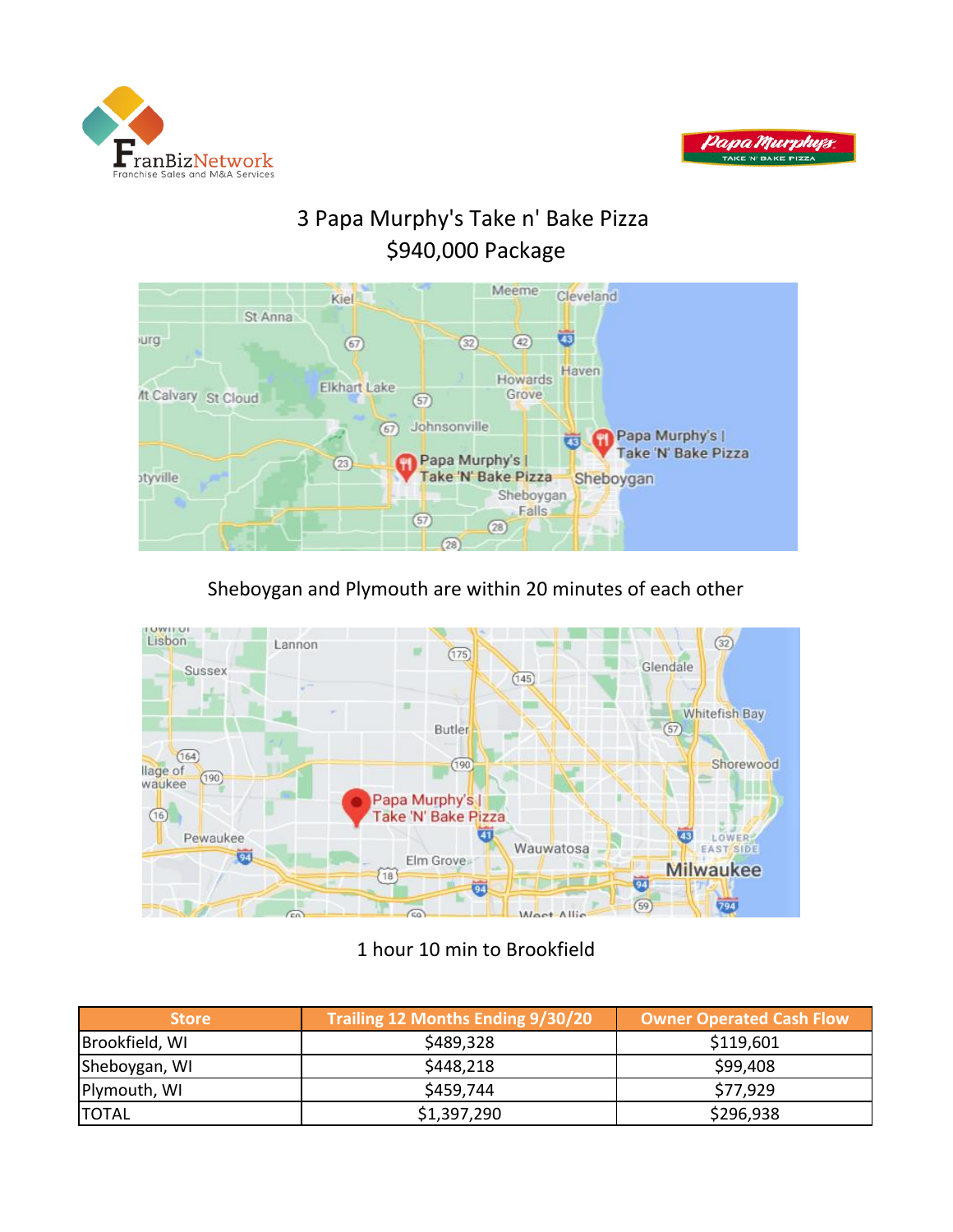



# 3 Papa Murphy's Take n' Bake Pizza \$940,000 Package



## Sheboygan and Plymouth are within 20 minutes of each other



## 1 hour 10 min to Brookfield

| <b>Store</b>   | Trailing 12 Months Ending 9/30/20 | <b>Owner Operated Cash Flow</b> |
|----------------|-----------------------------------|---------------------------------|
| Brookfield, WI | \$489,328                         | \$119,601                       |
| Sheboygan, WI  | \$448,218                         | \$99,408                        |
| Plymouth, WI   | \$459,744                         | \$77.929                        |
| <b>TOTAL</b>   | \$1,397,290                       | \$296,938                       |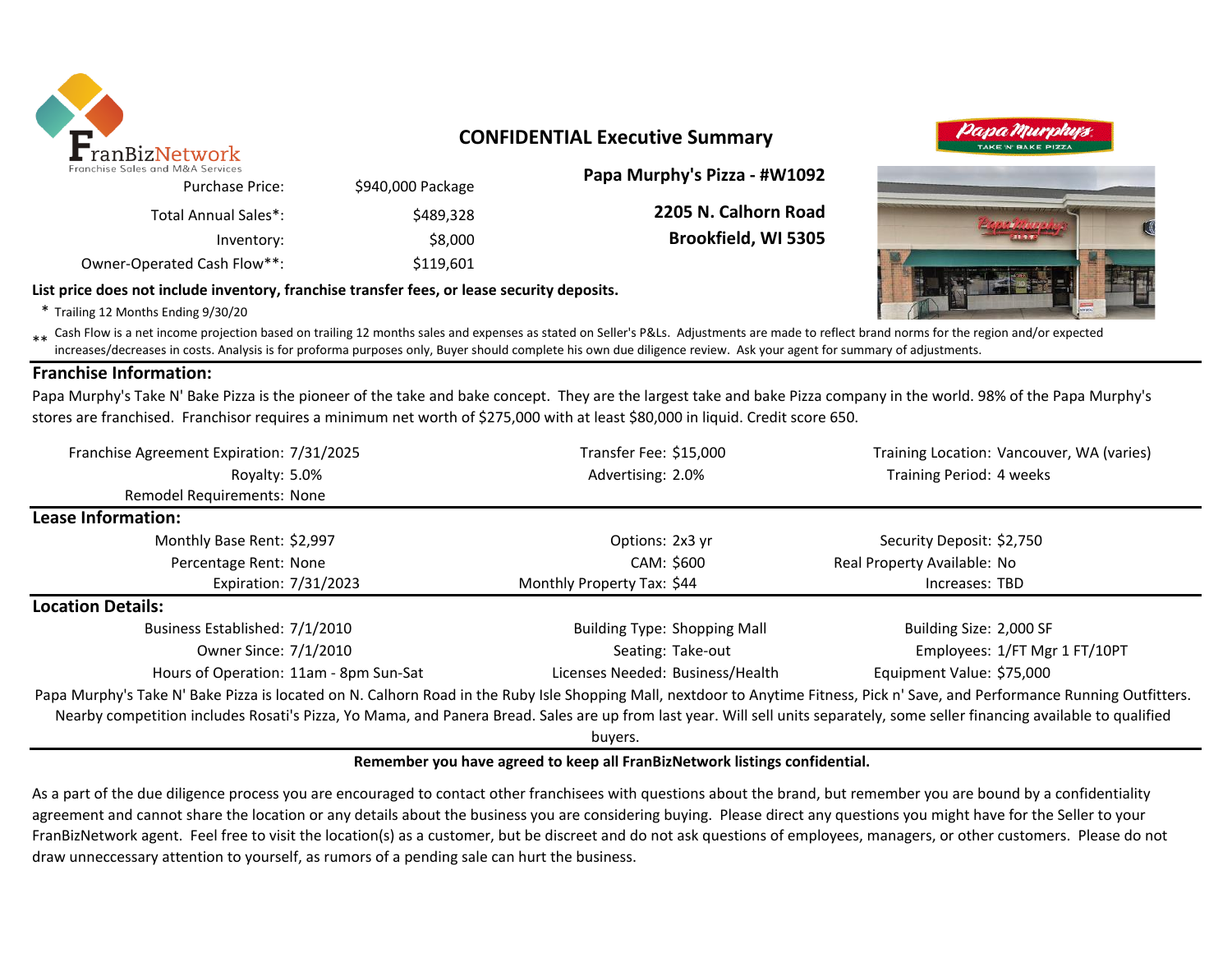

## **CONFIDENTIAL Executive Summary**

| Papa Murphy's Pizza - #W1092 |                   | anchise Sales and M&A Services |  |  |  |
|------------------------------|-------------------|--------------------------------|--|--|--|
|                              | \$940,000 Package | <b>Purchase Price:</b>         |  |  |  |
| 2205 N. Calhorn Road         | \$489.328         | Total Annual Sales*:           |  |  |  |
| <b>Brookfield, WI 5305</b>   | \$8,000           | Inventory:                     |  |  |  |
|                              | \$119,601         | Owner-Operated Cash Flow**:    |  |  |  |

#### **List price does not include inventory, franchise transfer fees, or lease security deposits.**

\* Trailing 12 Months Ending 9/30/20

\*\* Cash Flow is a net income projection based on trailing 12 months sales and expenses as stated on Seller's P&Ls. Adjustments are made to reflect brand norms for the region and/or expected in costs. Analysis is for profor increases/decreases in costs. Analysis is for proforma purposes only, Buyer should complete his own due diligence review. Ask your agent for summary of adjustments.

#### **Franchise Information:**

Papa Murphy's Take N' Bake Pizza is the pioneer of the take and bake concept. They are the largest take and bake Pizza company in the world. 98% of the Papa Murphy's stores are franchised. Franchisor requires a minimum net worth of \$275,000 with at least \$80,000 in liquid. Credit score 650.

| Franchise Agreement Expiration: 7/31/2025                                                                                                                                     | Transfer Fee: \$15,000              | Training Location: Vancouver, WA (varies) |
|-------------------------------------------------------------------------------------------------------------------------------------------------------------------------------|-------------------------------------|-------------------------------------------|
| Royalty: 5.0%                                                                                                                                                                 | Advertising: 2.0%                   | Training Period: 4 weeks                  |
| Remodel Requirements: None                                                                                                                                                    |                                     |                                           |
| Lease Information:                                                                                                                                                            |                                     |                                           |
| Monthly Base Rent: \$2,997                                                                                                                                                    | Options: 2x3 yr                     | Security Deposit: \$2,750                 |
| Percentage Rent: None                                                                                                                                                         | CAM: \$600                          | Real Property Available: No               |
| Expiration: 7/31/2023                                                                                                                                                         | Monthly Property Tax: \$44          | Increases: TBD                            |
| <b>Location Details:</b>                                                                                                                                                      |                                     |                                           |
| Business Established: 7/1/2010                                                                                                                                                | <b>Building Type: Shopping Mall</b> | Building Size: 2,000 SF                   |
| Owner Since: 7/1/2010                                                                                                                                                         | Seating: Take-out                   | Employees: 1/FT Mgr 1 FT/10PT             |
| Hours of Operation: 11am - 8pm Sun-Sat                                                                                                                                        | Licenses Needed: Business/Health    | Equipment Value: \$75,000                 |
| Papa Murphy's Take N' Bake Pizza is located on N. Calhorn Road in the Ruby Isle Shopping Mall, nextdoor to Anytime Fitness, Pick n' Save, and Performance Running Outfitters. |                                     |                                           |
| Nearby competition includes Rosati's Pizza, Yo Mama, and Panera Bread. Sales are up from last year. Will sell units separately, some seller financing available to qualified  |                                     |                                           |
|                                                                                                                                                                               | buyers.                             |                                           |

#### **Remember you have agreed to keep all FranBizNetwork listings confidential.**

As a part of the due diligence process you are encouraged to contact other franchisees with questions about the brand, but remember you are bound by a confidentiality agreement and cannot share the location or any details about the business you are considering buying. Please direct any questions you might have for the Seller to your FranBizNetwork agent. Feel free to visit the location(s) as a customer, but be discreet and do not ask questions of employees, managers, or other customers. Please do not draw unneccessary attention to yourself, as rumors of a pending sale can hurt the business.



Iapa Murpi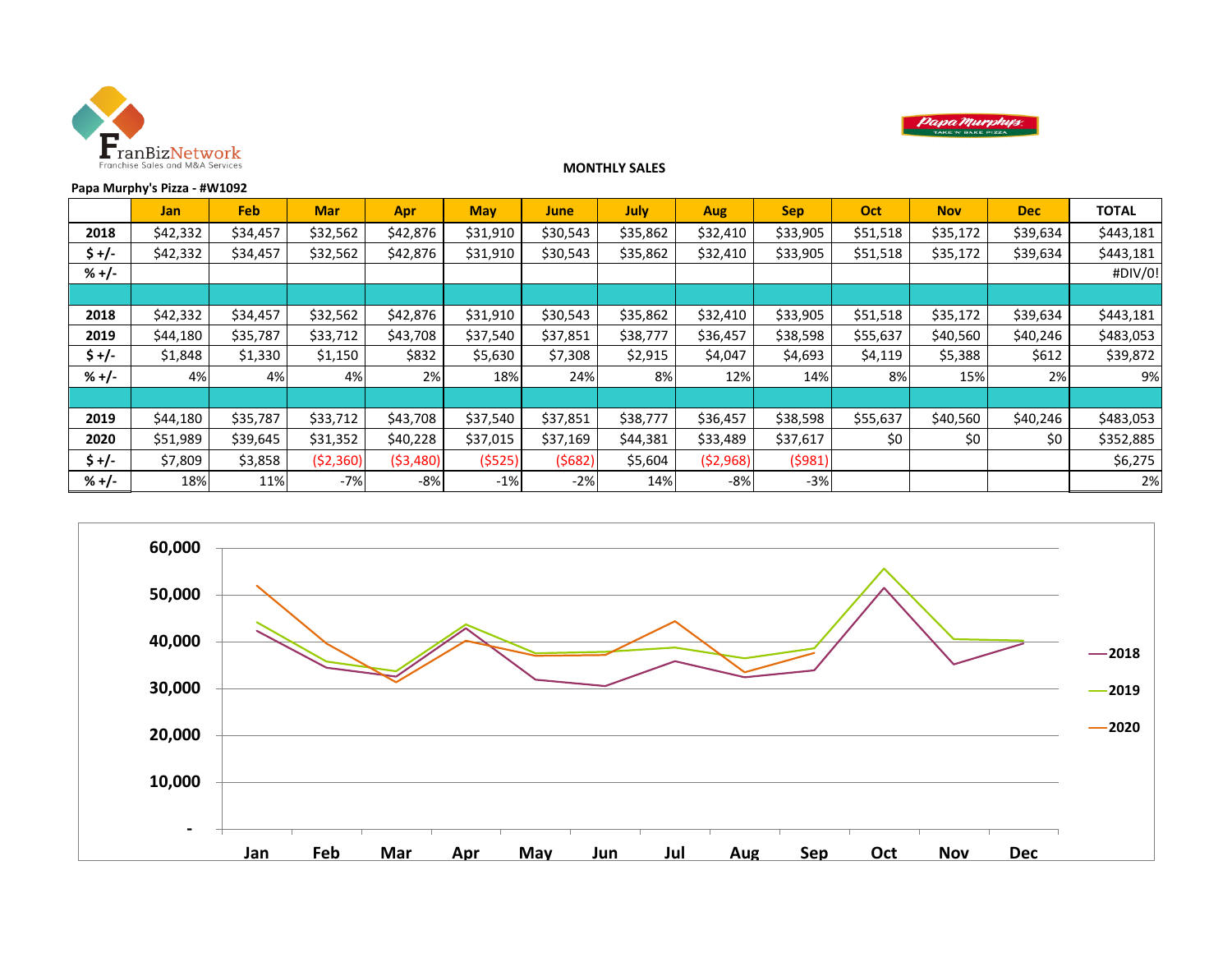



#### **Papa Murphy's Pizza - #W1092**

**Jan Feb Mar Apr May June July Aug Sep Oct Nov Dec TOTAL 2018** \$42,332 \$34,457 \$32,562 \$42,876 \$31,910 \$30,543 \$35,862 \$32,410 \$33,905 \$51,518 \$35,172 \$39,634 \$443,181 **\$+/-** | \$42,332 | \$34,457 | \$32,562 | \$42,876 | \$31,910 | \$30,543 | \$35,862 | \$32,410 | \$33,905 | \$51,518 | \$35,172 | \$39,634 | \$443,181 **% +/-** #DIV/0! **2018** \$42,332 \$34,457 \$32,562 \$42,876 \$31,910 \$30,543 \$35,862 \$32,410 \$33,905 \$51,518 \$35,172 \$39,634 \$443,181 **2019** | \$44,180 | \$35,787 | \$33,712 | \$43,708 | \$37,540 | \$37,851 | \$38,777 | \$36,457 | \$38,598 | \$55,637 | \$40,560 | \$40,246 | \$483,053 **\$+/-** | \$1,848 | \$1,330 | \$1,150 | \$832 | \$5,630 | \$7,308 | \$2,915 | \$4,047 | \$4,693 | \$4,119 | \$5,388 | \$612 | **% +/-** 4% 4% 4% 2% 18% 24% 8% 12% 14% 8% 15% 2% 9% **2019** | \$44,180 | \$35,787 | \$33,712 | \$43,708 | \$37,540 | \$37,851 | \$38,777 | \$36,457 | \$38,598 | \$55,637 | \$40,560 | \$40,246 | \$483,053 **2020** | \$51,989 | \$39,645 | \$31,352 | \$40,228 | \$37,015 | \$37,169 | \$44,381 | \$33,489 | \$37,617 | \$0 | \$0 | \$152,885 **\$ +/-** \$7,809 \$3,858 (\$2,360) (\$3,480) (\$525) (\$682) \$5,604 (\$2,968) (\$981) \$6,275 **% +/-** 18% 11% -7% -8% -1% -2% 14% -8% -3% 2%

**MONTHLY SALES** 

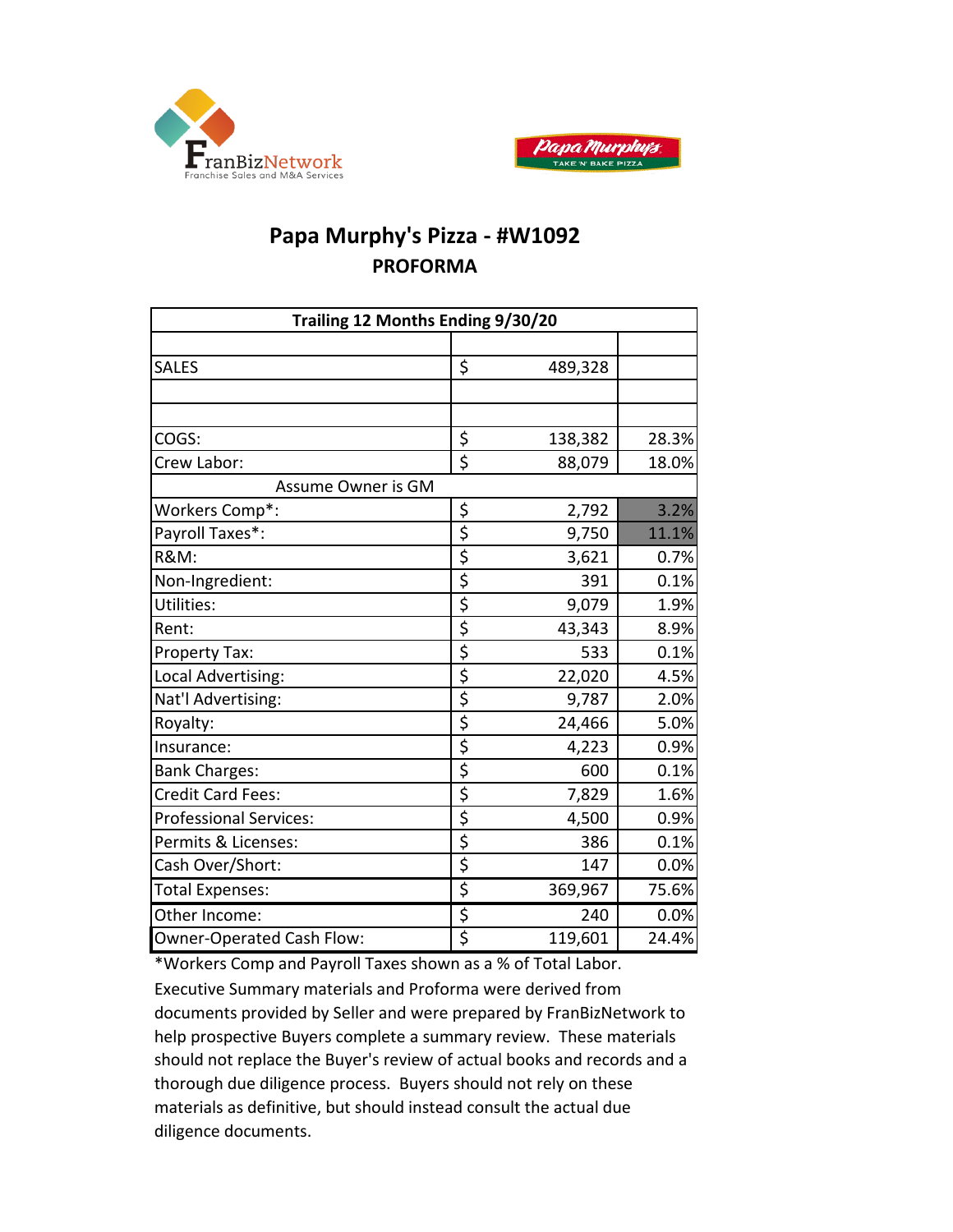



# **Papa Murphy's Pizza - #W1092 PROFORMA**

| Trailing 12 Months Ending 9/30/20 |                                     |         |       |  |  |  |  |  |  |
|-----------------------------------|-------------------------------------|---------|-------|--|--|--|--|--|--|
|                                   |                                     |         |       |  |  |  |  |  |  |
| <b>SALES</b>                      | \$                                  | 489,328 |       |  |  |  |  |  |  |
|                                   |                                     |         |       |  |  |  |  |  |  |
|                                   |                                     |         |       |  |  |  |  |  |  |
| COGS:                             | \$                                  | 138,382 | 28.3% |  |  |  |  |  |  |
| Crew Labor:                       | \$                                  | 88,079  | 18.0% |  |  |  |  |  |  |
| Assume Owner is GM                |                                     |         |       |  |  |  |  |  |  |
| Workers Comp*:                    | \$                                  | 2,792   | 3.2%  |  |  |  |  |  |  |
| Payroll Taxes*:                   | $\overline{\boldsymbol{\varsigma}}$ | 9,750   | 11.1% |  |  |  |  |  |  |
| <b>R&amp;M:</b>                   | \$                                  | 3,621   | 0.7%  |  |  |  |  |  |  |
| Non-Ingredient:                   | $\overline{\boldsymbol{\zeta}}$     | 391     | 0.1%  |  |  |  |  |  |  |
| Utilities:                        | $\overline{\boldsymbol{\varsigma}}$ | 9,079   | 1.9%  |  |  |  |  |  |  |
| Rent:                             | $\overline{\xi}$                    | 43,343  | 8.9%  |  |  |  |  |  |  |
| Property Tax:                     | \$                                  | 533     | 0.1%  |  |  |  |  |  |  |
| Local Advertising:                | \$                                  | 22,020  | 4.5%  |  |  |  |  |  |  |
| Nat'l Advertising:                | \$                                  | 9,787   | 2.0%  |  |  |  |  |  |  |
| Royalty:                          | $\overline{\xi}$                    | 24,466  | 5.0%  |  |  |  |  |  |  |
| Insurance:                        | $\overline{\boldsymbol{\zeta}}$     | 4,223   | 0.9%  |  |  |  |  |  |  |
| <b>Bank Charges:</b>              | \$                                  | 600     | 0.1%  |  |  |  |  |  |  |
| <b>Credit Card Fees:</b>          | $\overline{\boldsymbol{\varsigma}}$ | 7,829   | 1.6%  |  |  |  |  |  |  |
| <b>Professional Services:</b>     | $\overline{\boldsymbol{\varsigma}}$ | 4,500   | 0.9%  |  |  |  |  |  |  |
| Permits & Licenses:               | \$                                  | 386     | 0.1%  |  |  |  |  |  |  |
| Cash Over/Short:                  | \$                                  | 147     | 0.0%  |  |  |  |  |  |  |
| <b>Total Expenses:</b>            | \$                                  | 369,967 | 75.6% |  |  |  |  |  |  |
| Other Income:                     | \$                                  | 240     | 0.0%  |  |  |  |  |  |  |
| Owner-Operated Cash Flow:         | \$                                  | 119,601 | 24.4% |  |  |  |  |  |  |

\*Workers Comp and Payroll Taxes shown as a % of Total Labor. Executive Summary materials and Proforma were derived from documents provided by Seller and were prepared by FranBizNetwork to help prospective Buyers complete a summary review. These materials should not replace the Buyer's review of actual books and records and a thorough due diligence process. Buyers should not rely on these materials as definitive, but should instead consult the actual due diligence documents.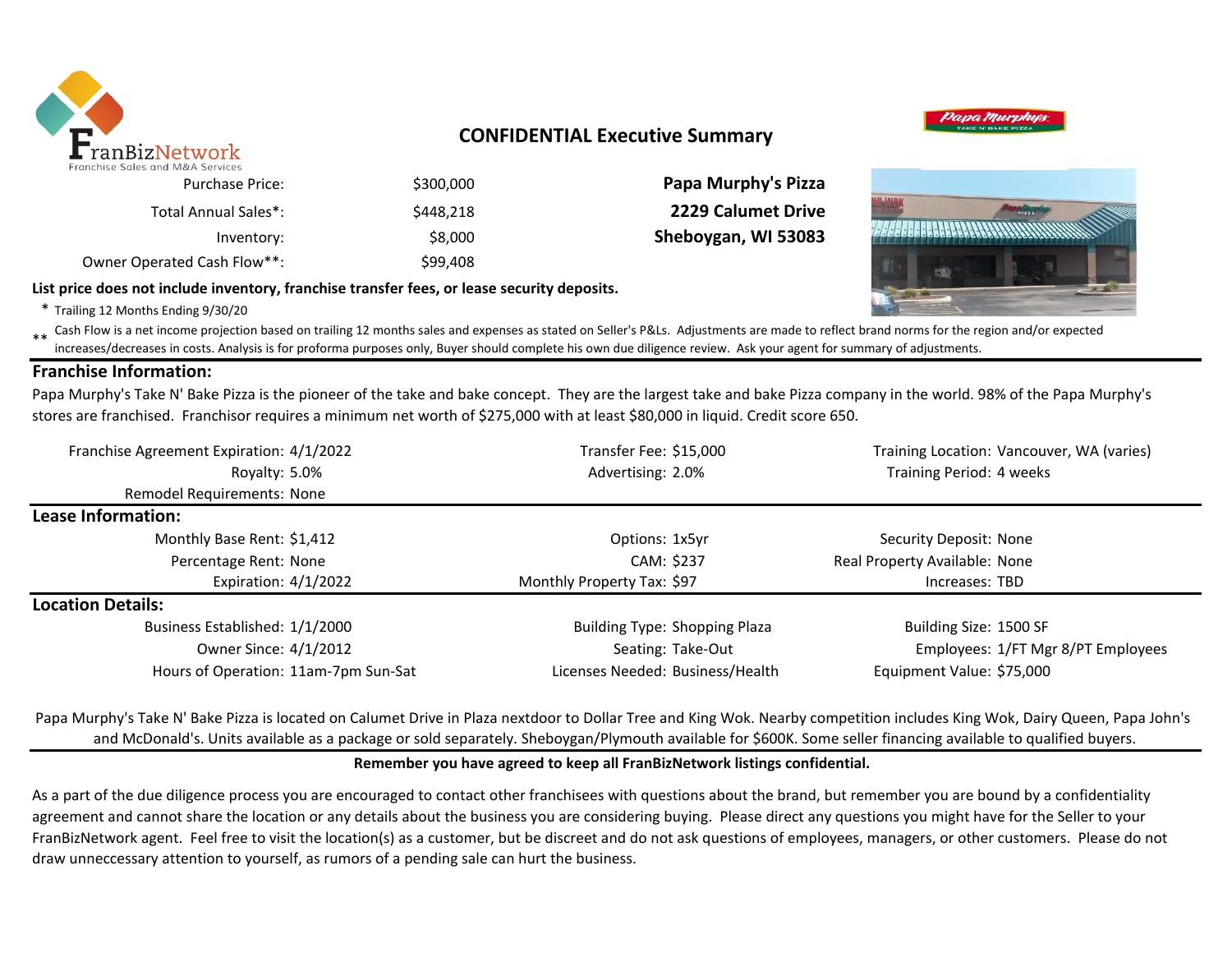

## **CONFIDENTIAL Executive Summary**

**Papa Murphy's Pizza 2229 Calumet Drive** Sheboygan, WI 53083



| <b>Purchase Price:</b>      | \$300,000 |  |
|-----------------------------|-----------|--|
| Total Annual Sales*:        | \$448.218 |  |
| Inventory:                  | \$8,000   |  |
| Owner Operated Cash Flow**: | \$99,408  |  |

#### **List price does not include inventory, franchise transfer fees, or lease security deposits.**

\* Trailing 12 Months Ending 9/30/20

\*\* Cash Flow is a net income projection based on trailing 12 months sales and expenses as stated on Seller's P&Ls. Adjustments are made to reflect brand norms for the region and/or expected in costs. Analysis is for profor increases/decreases in costs. Analysis is for proforma purposes only, Buyer should complete his own due diligence review. Ask your agent for summary of adjustments.

#### **Franchise Information:**

Papa Murphy's Take N' Bake Pizza is the pioneer of the take and bake concept. They are the largest take and bake Pizza company in the world. 98% of the Papa Murphy's stores are franchised. Franchisor requires a minimum net worth of \$275,000 with at least \$80,000 in liquid. Credit score 650.

| Franchise Agreement Expiration: 4/1/2022 | Transfer Fee: \$15,000               | Training Location: Vancouver, WA (varies) |  |  |
|------------------------------------------|--------------------------------------|-------------------------------------------|--|--|
| Royalty: 5.0%                            | Advertising: 2.0%                    | Training Period: 4 weeks                  |  |  |
| Remodel Requirements: None               |                                      |                                           |  |  |
| Lease Information:                       |                                      |                                           |  |  |
| Monthly Base Rent: \$1,412               | Options: 1x5yr                       | Security Deposit: None                    |  |  |
| Percentage Rent: None                    | CAM: \$237                           | Real Property Available: None             |  |  |
| Expiration: $4/1/2022$                   | Monthly Property Tax: \$97           | Increases: TBD                            |  |  |
| <b>Location Details:</b>                 |                                      |                                           |  |  |
| Business Established: 1/1/2000           | <b>Building Type: Shopping Plaza</b> | Building Size: 1500 SF                    |  |  |
| Owner Since: 4/1/2012                    | Seating: Take-Out                    | Employees: 1/FT Mgr 8/PT Employees        |  |  |
| Hours of Operation: 11am-7pm Sun-Sat     | Licenses Needed: Business/Health     | Equipment Value: \$75,000                 |  |  |

Papa Murphy's Take N' Bake Pizza is located on Calumet Drive in Plaza nextdoor to Dollar Tree and King Wok. Nearby competition includes King Wok, Dairy Queen, Papa John's and McDonald's. Units available as a package or sold separately. Sheboygan/Plymouth available for \$600K. Some seller financing available to qualified buyers.

#### **Remember you have agreed to keep all FranBizNetwork listings confidential.**

As a part of the due diligence process you are encouraged to contact other franchisees with questions about the brand, but remember you are bound by a confidentiality agreement and cannot share the location or any details about the business you are considering buying. Please direct any questions you might have for the Seller to your FranBizNetwork agent. Feel free to visit the location(s) as a customer, but be discreet and do not ask questions of employees, managers, or other customers. Please do not draw unneccessary attention to yourself, as rumors of a pending sale can hurt the business.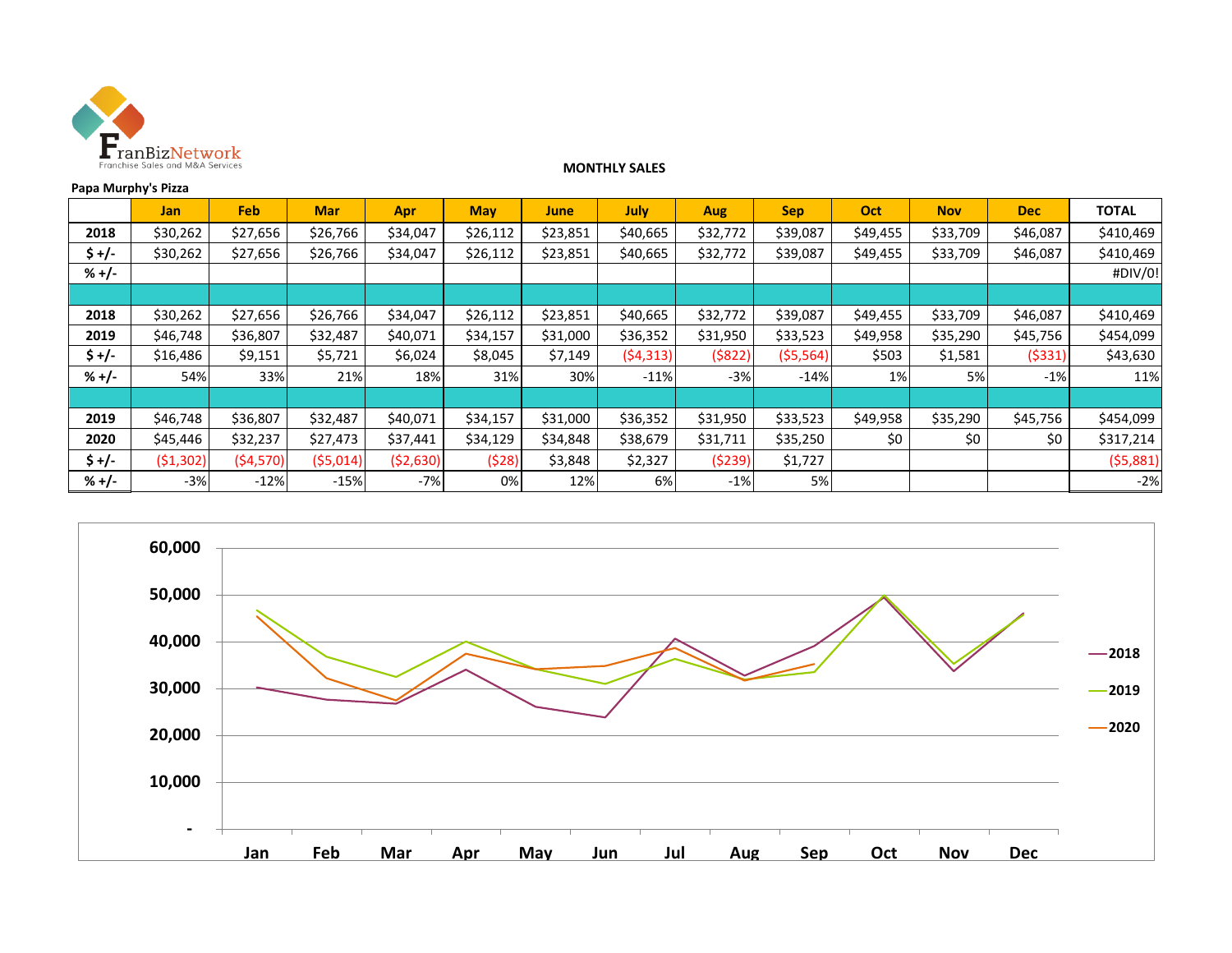

#### **MONTHLY SALES**

#### **Papa Murphy's Pizza**

|         | <b>Jan</b> | <b>Feb</b> | <b>Mar</b> | Apr      | <b>May</b> | <b>June</b> | July     | <b>Aug</b> | <b>Sep</b> | Oct      | <b>Nov</b> | <b>Dec</b> | <b>TOTAL</b> |
|---------|------------|------------|------------|----------|------------|-------------|----------|------------|------------|----------|------------|------------|--------------|
| 2018    | \$30,262   | \$27,656   | \$26,766   | \$34,047 | \$26,112   | \$23,851    | \$40,665 | \$32,772   | \$39,087   | \$49,455 | \$33,709   | \$46,087   | \$410,469    |
| \$ +/-  | \$30,262   | \$27,656   | \$26,766   | \$34,047 | \$26,112   | \$23,851    | \$40,665 | \$32,772   | \$39,087   | \$49,455 | \$33,709   | \$46,087   | \$410,469    |
| $% +/-$ |            |            |            |          |            |             |          |            |            |          |            |            | #DIV/0!      |
|         |            |            |            |          |            |             |          |            |            |          |            |            |              |
| 2018    | \$30,262   | \$27,656   | \$26,766   | \$34,047 | \$26,112   | \$23,851    | \$40,665 | \$32,772   | \$39,087   | \$49,455 | \$33,709   | \$46,087   | \$410,469    |
| 2019    | \$46,748   | \$36,807   | \$32,487   | \$40,071 | \$34,157   | \$31,000    | \$36,352 | \$31,950   | \$33,523   | \$49,958 | \$35,290   | \$45,756   | \$454,099    |
| \$ +/-  | \$16,486   | \$9,151    | \$5,721    | \$6,024  | \$8,045    | \$7,149     | (54,313) | (5822)     | (55, 564)  | \$503    | \$1,581    | (5331)     | \$43,630     |
| $% +/-$ | 54%        | 33%        | 21%        | 18%      | 31%        | 30%         | $-11%$   | $-3%$      | $-14%$     | 1%       | 5%         | $-1%$      | 11%          |
|         |            |            |            |          |            |             |          |            |            |          |            |            |              |
| 2019    | \$46,748   | \$36,807   | \$32,487   | \$40,071 | \$34,157   | \$31,000    | \$36,352 | \$31,950   | \$33,523   | \$49,958 | \$35,290   | \$45,756   | \$454,099    |
| 2020    | \$45,446   | \$32,237   | \$27,473   | \$37,441 | \$34,129   | \$34,848    | \$38,679 | \$31,711   | \$35,250   | \$0      | \$0        | \$0        | \$317,214    |
| $$+/-$  | (51,302)   | (54, 570)  | (55,014)   | (52,630) | (528)      | \$3,848     | \$2,327  | (5239)     | \$1,727    |          |            |            | (55,881)     |
| $% +/-$ | $-3%$      | $-12%$     | $-15%$     | $-7%$    | 0%         | 12%         | 6%       | $-1%$      | 5%         |          |            |            | $-2%$        |

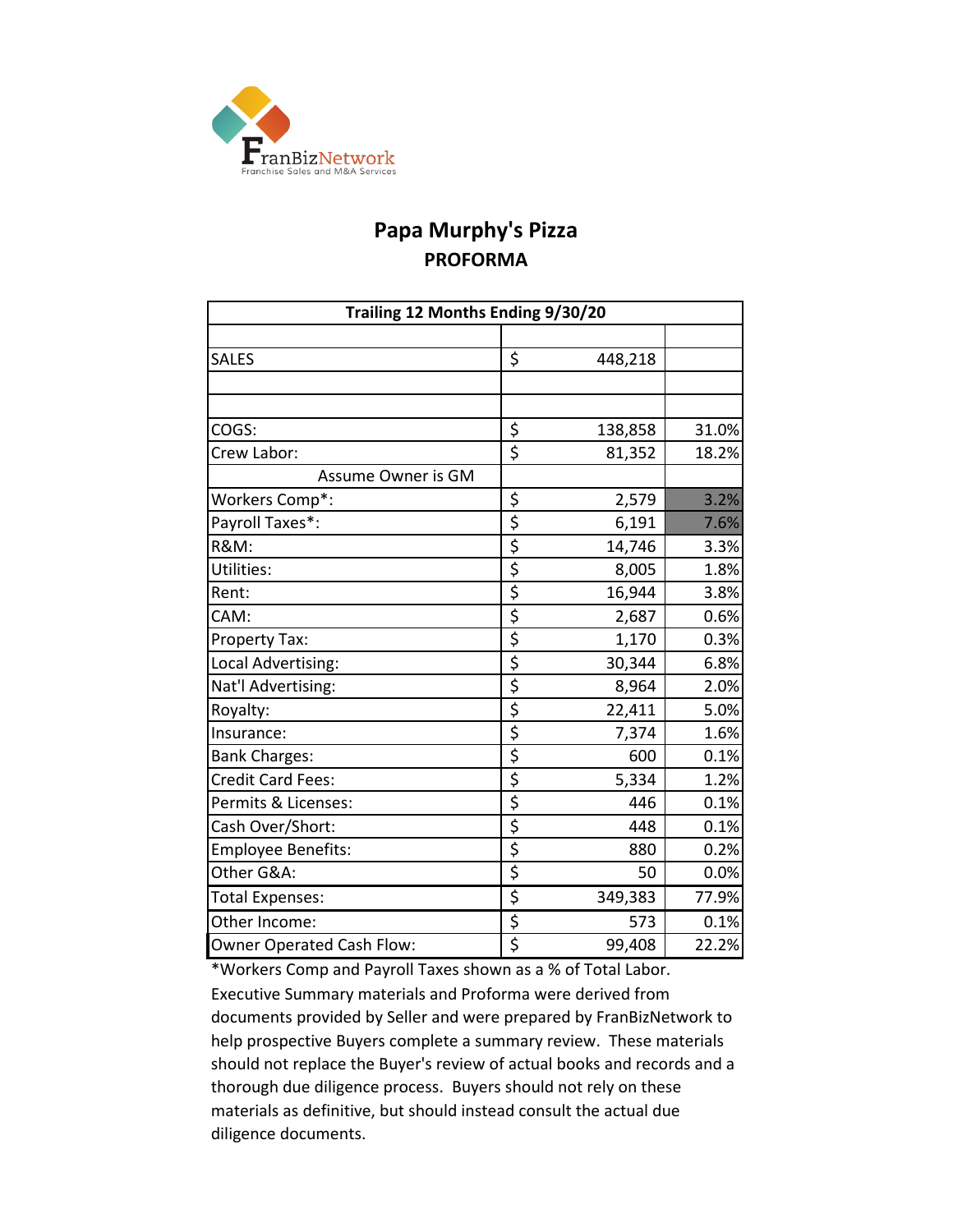

# **Papa Murphy's Pizza PROFORMA**

| Trailing 12 Months Ending 9/30/20 |                         |         |       |  |  |  |  |  |
|-----------------------------------|-------------------------|---------|-------|--|--|--|--|--|
|                                   |                         |         |       |  |  |  |  |  |
| <b>SALES</b>                      | \$                      | 448,218 |       |  |  |  |  |  |
|                                   |                         |         |       |  |  |  |  |  |
|                                   |                         |         |       |  |  |  |  |  |
| COGS:                             | \$                      | 138,858 | 31.0% |  |  |  |  |  |
| Crew Labor:                       | \$                      | 81,352  | 18.2% |  |  |  |  |  |
| Assume Owner is GM                |                         |         |       |  |  |  |  |  |
| Workers Comp*:                    | \$                      | 2,579   | 3.2%  |  |  |  |  |  |
| Payroll Taxes*:                   | \$                      | 6,191   | 7.6%  |  |  |  |  |  |
| <b>R&amp;M:</b>                   | \$                      | 14,746  | 3.3%  |  |  |  |  |  |
| Utilities:                        | $\overline{\xi}$        | 8,005   | 1.8%  |  |  |  |  |  |
| Rent:                             | \$                      | 16,944  | 3.8%  |  |  |  |  |  |
| CAM:                              | $\overline{\mathsf{S}}$ | 2,687   | 0.6%  |  |  |  |  |  |
| Property Tax:                     | \$                      | 1,170   | 0.3%  |  |  |  |  |  |
| Local Advertising:                | $\overline{\mathsf{S}}$ | 30,344  | 6.8%  |  |  |  |  |  |
| Nat'l Advertising:                | $\overline{\mathsf{S}}$ | 8,964   | 2.0%  |  |  |  |  |  |
| Royalty:                          | $\overline{\mathsf{S}}$ | 22,411  | 5.0%  |  |  |  |  |  |
| Insurance:                        | \$                      | 7,374   | 1.6%  |  |  |  |  |  |
| <b>Bank Charges:</b>              | $\overline{\varsigma}$  | 600     | 0.1%  |  |  |  |  |  |
| Credit Card Fees:                 | \$                      | 5,334   | 1.2%  |  |  |  |  |  |
| Permits & Licenses:               | $\overline{\mathsf{S}}$ | 446     | 0.1%  |  |  |  |  |  |
| Cash Over/Short:                  | \$                      | 448     | 0.1%  |  |  |  |  |  |
| <b>Employee Benefits:</b>         | \$                      | 880     | 0.2%  |  |  |  |  |  |
| Other G&A:                        | $\overline{\varsigma}$  | 50      | 0.0%  |  |  |  |  |  |
| <b>Total Expenses:</b>            | \$                      | 349,383 | 77.9% |  |  |  |  |  |
| Other Income:                     | $\overline{\varsigma}$  | 573     | 0.1%  |  |  |  |  |  |
| Owner Operated Cash Flow:         | $\overline{\mathsf{S}}$ | 99,408  | 22.2% |  |  |  |  |  |

\*Workers Comp and Payroll Taxes shown as a % of Total Labor. Executive Summary materials and Proforma were derived from documents provided by Seller and were prepared by FranBizNetwork to help prospective Buyers complete a summary review. These materials should not replace the Buyer's review of actual books and records and a thorough due diligence process. Buyers should not rely on these materials as definitive, but should instead consult the actual due diligence documents.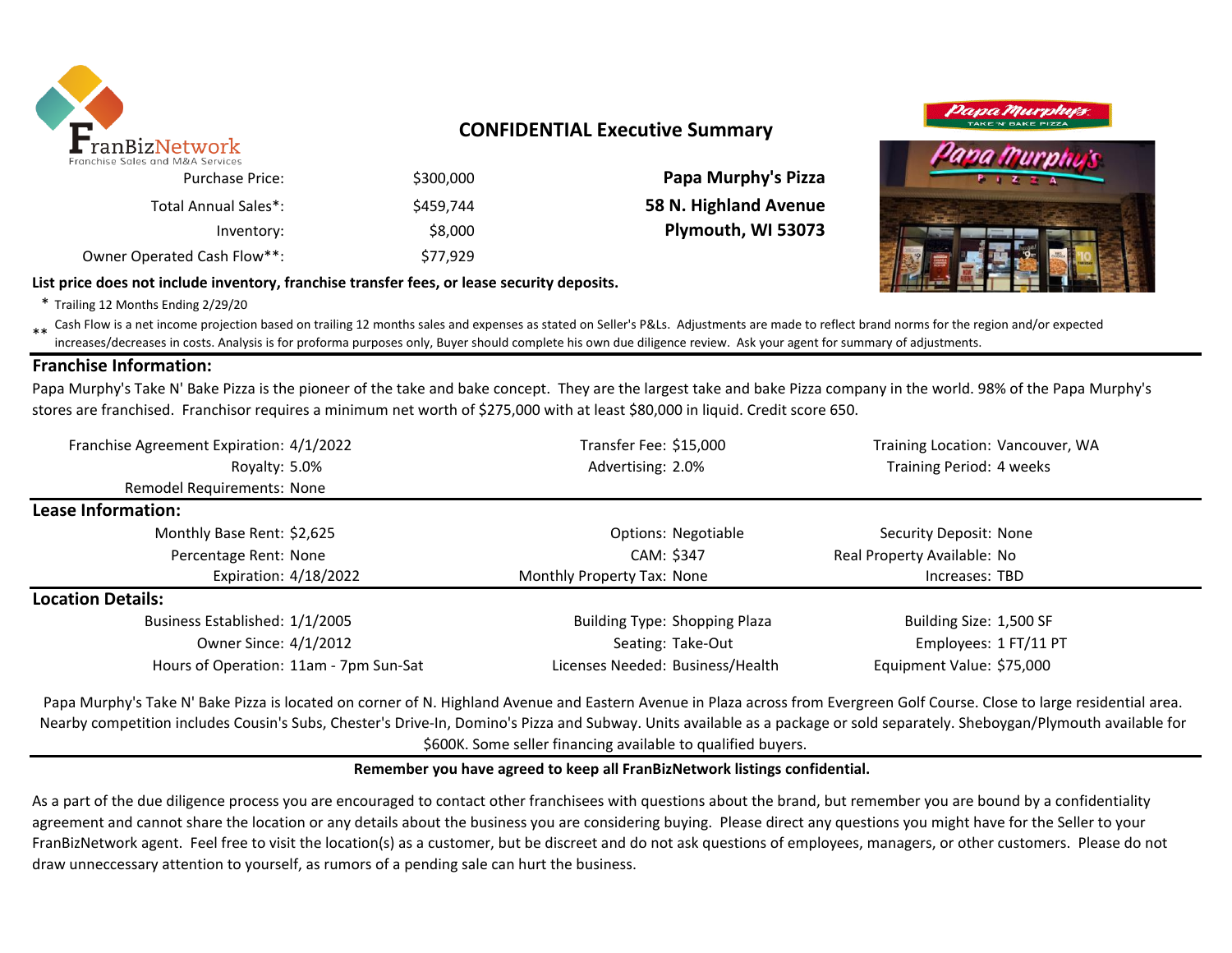

### **CONFIDENTIAL Executive Summary**

| <b>Papa Murphy's Pizza</b> | \$300,000 | <b>Purchase Price:</b>      |
|----------------------------|-----------|-----------------------------|
| 58 N. Highland Avenue      | \$459.744 | Total Annual Sales*:        |
| Plymouth, WI 53073         | \$8,000   | Inventory:                  |
|                            | \$77.929  | Owner Operated Cash Flow**: |

**List price does not include inventory, franchise transfer fees, or lease security deposits.**

# Dapa Murph

\* Trailing 12 Months Ending 2/29/20

\*\* Cash Flow is a net income projection based on trailing 12 months sales and expenses as stated on Seller's P&Ls. Adjustments are made to reflect brand norms for the region and/or expected in costs. Analysis is for profor increases/decreases in costs. Analysis is for proforma purposes only, Buyer should complete his own due diligence review. Ask your agent for summary of adjustments.

#### **Franchise Information:**

Papa Murphy's Take N' Bake Pizza is the pioneer of the take and bake concept. They are the largest take and bake Pizza company in the world. 98% of the Papa Murphy's stores are franchised. Franchisor requires a minimum net worth of \$275,000 with at least \$80,000 in liquid. Credit score 650.

| Franchise Agreement Expiration: 4/1/2022 | Transfer Fee: \$15,000               | Training Location: Vancouver, WA |  |
|------------------------------------------|--------------------------------------|----------------------------------|--|
| Royalty: 5.0%                            | Advertising: 2.0%                    | Training Period: 4 weeks         |  |
| Remodel Requirements: None               |                                      |                                  |  |
| Lease Information:                       |                                      |                                  |  |
| Monthly Base Rent: \$2,625               | Options: Negotiable                  | Security Deposit: None           |  |
| Percentage Rent: None                    | CAM: \$347                           | Real Property Available: No      |  |
| Expiration: 4/18/2022                    | Monthly Property Tax: None           | Increases: TBD                   |  |
| <b>Location Details:</b>                 |                                      |                                  |  |
| Business Established: 1/1/2005           | <b>Building Type: Shopping Plaza</b> | Building Size: 1,500 SF          |  |
| Owner Since: 4/1/2012                    | Seating: Take-Out                    | Employees: 1 FT/11 PT            |  |
| Hours of Operation: 11am - 7pm Sun-Sat   | Licenses Needed: Business/Health     | Equipment Value: \$75,000        |  |

Papa Murphy's Take N' Bake Pizza is located on corner of N. Highland Avenue and Eastern Avenue in Plaza across from Evergreen Golf Course. Close to large residential area. Nearby competition includes Cousin's Subs, Chester's Drive-In, Domino's Pizza and Subway. Units available as a package or sold separately. Sheboygan/Plymouth available for \$600K. Some seller financing available to qualified buyers.

#### **Remember you have agreed to keep all FranBizNetwork listings confidential.**

As a part of the due diligence process you are encouraged to contact other franchisees with questions about the brand, but remember you are bound by a confidentiality agreement and cannot share the location or any details about the business you are considering buying. Please direct any questions you might have for the Seller to your FranBizNetwork agent. Feel free to visit the location(s) as a customer, but be discreet and do not ask questions of employees, managers, or other customers. Please do not draw unneccessary attention to yourself, as rumors of a pending sale can hurt the business.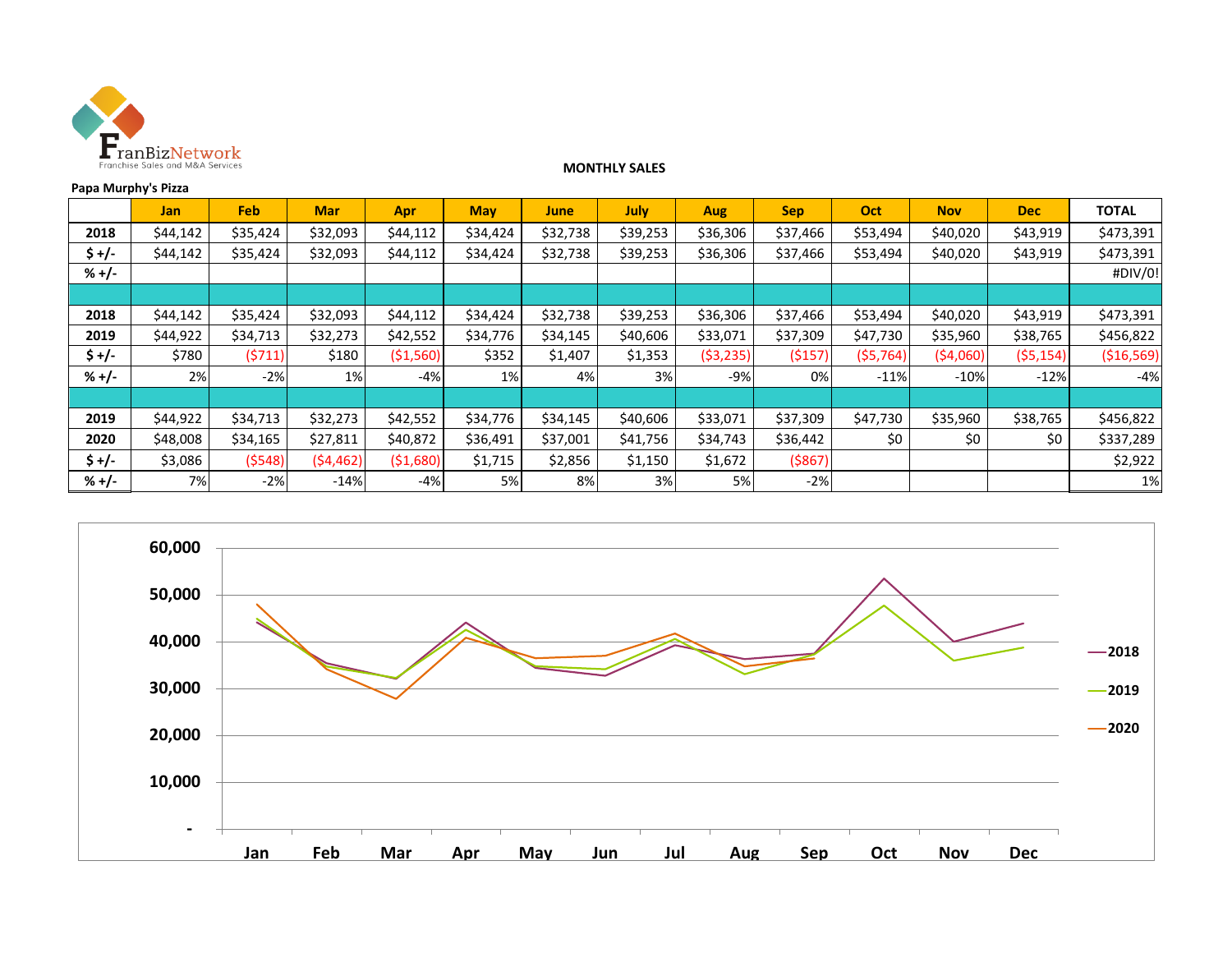

#### **MONTHLY SALES**

#### **Papa Murphy's Pizza**

|         | <b>Jan</b> | <b>Feb</b> | <b>Mar</b> | <b>Apr</b> | <b>May</b> | <b>June</b> | <b>July</b> | <b>Aug</b> | <b>Sep</b> | Oct       | <b>Nov</b> | <b>Dec</b> | <b>TOTAL</b> |
|---------|------------|------------|------------|------------|------------|-------------|-------------|------------|------------|-----------|------------|------------|--------------|
| 2018    | \$44,142   | \$35,424   | \$32,093   | \$44,112   | \$34,424   | \$32,738    | \$39,253    | \$36,306   | \$37,466   | \$53,494  | \$40,020   | \$43,919   | \$473,391    |
| \$ +/-  | \$44,142   | \$35,424   | \$32,093   | \$44,112   | \$34,424   | \$32,738    | \$39,253    | \$36,306   | \$37,466   | \$53,494  | \$40,020   | \$43,919   | \$473,391    |
| $% +/-$ |            |            |            |            |            |             |             |            |            |           |            |            | #DIV/0!      |
|         |            |            |            |            |            |             |             |            |            |           |            |            |              |
| 2018    | \$44,142   | \$35,424   | \$32,093   | \$44,112   | \$34,424   | \$32,738    | \$39,253    | \$36,306   | \$37,466   | \$53,494  | \$40,020   | \$43,919   | \$473,391    |
| 2019    | \$44,922   | \$34,713   | \$32,273   | \$42,552   | \$34,776   | \$34,145    | \$40,606    | \$33,071   | \$37,309   | \$47,730  | \$35,960   | \$38,765   | \$456,822    |
| $$+/-$  | \$780      | (5711)     | \$180      | ( \$1,560) | \$352      | \$1,407     | \$1,353     | (53, 235)  | (5157)     | (55, 764) | (54,060)   | (55, 154)  | ( \$16, 569) |
| $% +/-$ | 2%         | $-2%$      | 1%         | $-4%$      | 1%         | 4%          | 3%          | $-9%$      | 0%         | $-11%$    | $-10%$     | $-12%$     | $-4%$        |
|         |            |            |            |            |            |             |             |            |            |           |            |            |              |
| 2019    | \$44,922   | \$34,713   | \$32,273   | \$42,552   | \$34,776   | \$34,145    | \$40,606    | \$33,071   | \$37,309   | \$47,730  | \$35,960   | \$38,765   | \$456,822    |
| 2020    | \$48,008   | \$34,165   | \$27,811   | \$40,872   | \$36,491   | \$37,001    | \$41,756    | \$34,743   | \$36,442   | \$0       | \$0        | \$0        | \$337,289    |
| $$+/-$  | \$3,086    | (5548)     | (54, 462)  | ( \$1,680) | \$1,715    | \$2,856     | \$1,150     | \$1,672    | ( \$867)   |           |            |            | \$2,922      |
| $% +/-$ | 7%         | $-2%$      | $-14%$     | $-4%$      | 5%         | 8%          | 3%          | 5%         | $-2%$      |           |            |            | 1%           |